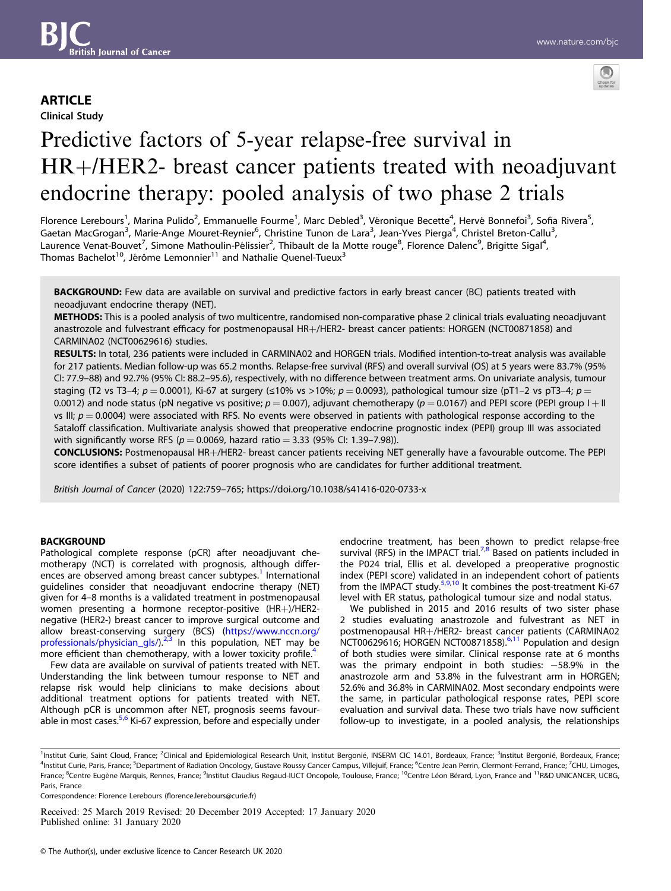# **ARTICLE**

Clinical Study



# Predictive factors of 5-year relapse-free survival in HR+/HER2- breast cancer patients treated with neoadjuvant endocrine therapy: pooled analysis of two phase 2 trials

Florence Lerebours<sup>1</sup>, Marina Pulido<sup>2</sup>, Emmanuelle Fourme<sup>1</sup>, Marc Debled<sup>3</sup>, Véronique Becette<sup>4</sup>, Hervé Bonnefoi<sup>3</sup>, Sofia Rivera<sup>5</sup>, Gaetan MacGrogan<sup>3</sup>, Marie-Ange Mouret-Reynier<sup>6</sup>, Christine Tunon de Lara<sup>3</sup>, Jean-Yves Pierga<sup>4</sup>, Christel Breton-Callu<sup>3</sup>, Laurence Venat-Bouvet<sup>7</sup>, Simone Mathoulin-Pélissier<sup>2</sup>, Thibault de la Motte rouge<sup>8</sup>, Florence Dalenc<sup>9</sup>, Brigitte Sigal<sup>4</sup>, Thomas Bachelot<sup>10</sup>, Jérôme Lemonnier<sup>11</sup> and Nathalie Quenel-Tueux<sup>3</sup>

BACKGROUND: Few data are available on survival and predictive factors in early breast cancer (BC) patients treated with neoadjuvant endocrine therapy (NET).

METHODS: This is a pooled analysis of two multicentre, randomised non-comparative phase 2 clinical trials evaluating neoadjuvant anastrozole and fulvestrant efficacy for postmenopausal HR+/HER2- breast cancer patients: HORGEN (NCT00871858) and CARMINA02 (NCT00629616) studies.

RESULTS: In total, 236 patients were included in CARMINA02 and HORGEN trials. Modified intention-to-treat analysis was available for 217 patients. Median follow-up was 65.2 months. Relapse-free survival (RFS) and overall survival (OS) at 5 years were 83.7% (95% CI: 77.9–88) and 92.7% (95% CI: 88.2–95.6), respectively, with no difference between treatment arms. On univariate analysis, tumour staging (T2 vs T3−4; p = 0.0001), Ki-67 at surgery (≤10% vs >10%; p = 0.0093), pathological tumour size (pT1–2 vs pT3–4; p = 0.0012) and node status (pN negative vs positive;  $p = 0.007$ ), adjuvant chemotherapy ( $p = 0.0167$ ) and PEPI score (PEPI group I + II vs III;  $p = 0.0004$ ) were associated with RFS. No events were observed in patients with pathological response according to the Sataloff classification. Multivariate analysis showed that preoperative endocrine prognostic index (PEPI) group III was associated with significantly worse RFS ( $p = 0.0069$ , hazard ratio = 3.33 (95% CI: 1.39–7.98)).

CONCLUSIONS: Postmenopausal HR+/HER2- breast cancer patients receiving NET generally have a favourable outcome. The PEPI score identifies a subset of patients of poorer prognosis who are candidates for further additional treatment.

British Journal of Cancer (2020) 122:759–765; https://doi.org/10.1038/s41416-020-0733-x

# **BACKGROUND**

Pathological complete response (pCR) after neoadjuvant chemotherapy (NCT) is correlated with prognosis, although differ-ences are observed among breast cancer subtypes.<sup>[1](#page-5-0)</sup> International guidelines consider that neoadjuvant endocrine therapy (NET) given for 4–8 months is a validated treatment in postmenopausal women presenting a hormone receptor-positive (HR+)/HER2 negative (HER2-) breast cancer to improve surgical outcome and allow breast-conserving surgery (BCS) [\(https://www.nccn.org/](https://www.nccn.org/professionals/physician_gls/) professionals/physician\_gls/ $)^{2,3}$  $)^{2,3}$  $)^{2,3}$  $)^{2,3}$  $)^{2,3}$  In this population, NET may be more efficient than chemotherapy, with a lower toxicity profile.<sup>[4](#page-5-0)</sup>

Few data are available on survival of patients treated with NET. Understanding the link between tumour response to NET and relapse risk would help clinicians to make decisions about additional treatment options for patients treated with NET. Although pCR is uncommon after NET, prognosis seems favour-able in most cases.<sup>[5,6](#page-5-0)</sup> Ki-67 expression, before and especially under endocrine treatment, has been shown to predict relapse-free survival (RFS) in the IMPACT trial.<sup>7,8</sup> Based on patients included in the P024 trial, Ellis et al. developed a preoperative prognostic index (PEPI score) validated in an independent cohort of patients from the IMPACT study.<sup>[5,9,10](#page-5-0)</sup> It combines the post-treatment Ki-67 level with ER status, pathological tumour size and nodal status.

We published in 2015 and 2016 results of two sister phase 2 studies evaluating anastrozole and fulvestrant as NET in postmenopausal HR+/HER2- breast cancer patients (CARMINA02 NCT00629616; HORGEN NCT00871858).<sup>[6,11](#page-5-0)</sup> Population and design of both studies were similar. Clinical response rate at 6 months was the primary endpoint in both studies: -58.9% in the anastrozole arm and 53.8% in the fulvestrant arm in HORGEN; 52.6% and 36.8% in CARMINA02. Most secondary endpoints were the same, in particular pathological response rates, PEPI score evaluation and survival data. These two trials have now sufficient follow-up to investigate, in a pooled analysis, the relationships

Correspondence: Florence Lerebours (fl[orence.lerebours@curie.fr\)](mailto:florence.lerebours@curie.fr)

Received: 25 March 2019 Revised: 20 December 2019 Accepted: 17 January 2020 Published online: 31 January 2020

<sup>&</sup>lt;sup>1</sup>Institut Curie, Saint Cloud, France; <sup>2</sup>Clinical and Epidemiological Research Unit, Institut Bergonié, INSERM CIC 14.01, Bordeaux, France; <sup>3</sup>Institut Bergonié, Bordeaux, France; <sup>4</sup>Institut Curie, Paris, France; <sup>5</sup>Department of Radiation Oncology, Gustave Roussy Cancer Campus, Villejuif, France; <sup>6</sup>Centre Jean Perrin, Clermont-Ferrand, France; <sup>7</sup>CHU, Limoges, France; <sup>8</sup>Centre Eugène Marquis, Rennes, France; <sup>9</sup>Institut Claudius Regaud-IUCT Oncopole, Toulouse, France; <sup>10</sup>Centre Léon Bérard, Lyon, France and <sup>11</sup>R&D UNICANCER, UCBG, Paris, France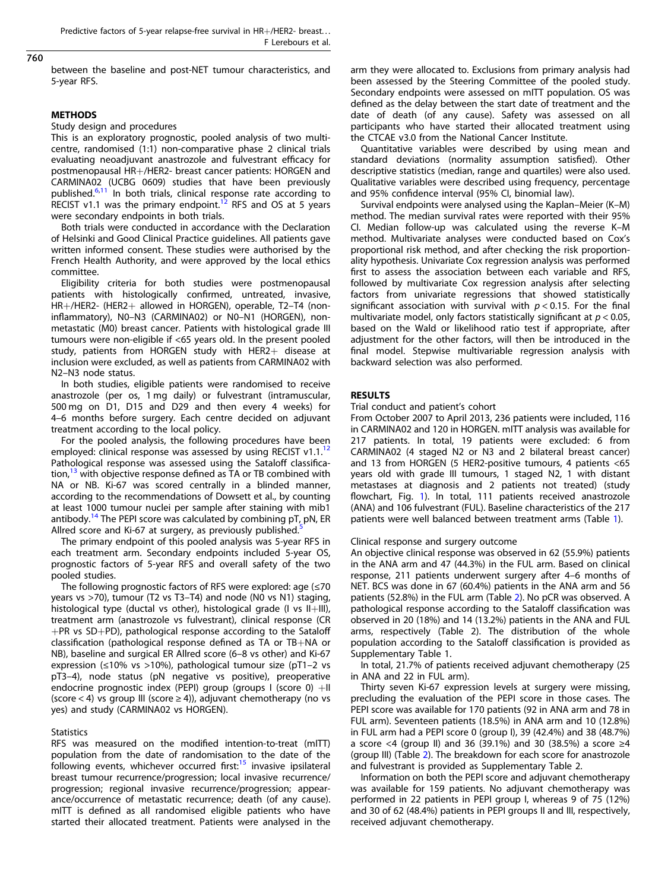# 760

between the baseline and post-NET tumour characteristics, and 5-year RFS.

#### **METHODS**

#### Study design and procedures

This is an exploratory prognostic, pooled analysis of two multicentre, randomised (1:1) non-comparative phase 2 clinical trials evaluating neoadjuvant anastrozole and fulvestrant efficacy for postmenopausal HR+/HER2- breast cancer patients: HORGEN and CARMINA02 (UCBG 0609) studies that have been previously published.<sup>[6,11](#page-5-0)</sup> In both trials, clinical response rate according to RECIST v1.1 was the primary endpoint.<sup>[12](#page-5-0)</sup> RFS and OS at 5 years were secondary endpoints in both trials.

Both trials were conducted in accordance with the Declaration of Helsinki and Good Clinical Practice guidelines. All patients gave written informed consent. These studies were authorised by the French Health Authority, and were approved by the local ethics committee.

Eligibility criteria for both studies were postmenopausal patients with histologically confirmed, untreated, invasive, HR+/HER2- (HER2+ allowed in HORGEN), operable, T2–T4 (noninflammatory), N0–N3 (CARMINA02) or N0–N1 (HORGEN), nonmetastatic (M0) breast cancer. Patients with histological grade III tumours were non-eligible if <65 years old. In the present pooled study, patients from HORGEN study with HER2+ disease at inclusion were excluded, as well as patients from CARMINA02 with N2–N3 node status.

In both studies, eligible patients were randomised to receive anastrozole (per os, 1 mg daily) or fulvestrant (intramuscular, 500 mg on D1, D15 and D29 and then every 4 weeks) for 4–6 months before surgery. Each centre decided on adjuvant treatment according to the local policy.

For the pooled analysis, the following procedures have been employed: clinical response was assessed by using RECIST v1.1.<sup>[12](#page-5-0)</sup> Pathological response was assessed using the Sataloff classification, $13$  with objective response defined as TA or TB combined with NA or NB. Ki-67 was scored centrally in a blinded manner, according to the recommendations of Dowsett et al., by counting at least 1000 tumour nuclei per sample after staining with mib1 antibody.<sup>[14](#page-5-0)</sup> The PEPI score was calculated by combining  $pT$ ,  $pN$ , ER Allred score and Ki-67 at surgery, as previously published.<sup>[5](#page-5-0)</sup>

The primary endpoint of this pooled analysis was 5-year RFS in each treatment arm. Secondary endpoints included 5-year OS, prognostic factors of 5-year RFS and overall safety of the two pooled studies.

The following prognostic factors of RFS were explored: age (≤70 years vs >70), tumour (T2 vs T3–T4) and node (N0 vs N1) staging, histological type (ductal vs other), histological grade (I vs  $II+III$ ), treatment arm (anastrozole vs fulvestrant), clinical response (CR  $+$ PR vs SD $+$ PD), pathological response according to the Sataloff classification (pathological response defined as TA or TB+NA or NB), baseline and surgical ER Allred score (6–8 vs other) and Ki-67 expression (≤10% vs >10%), pathological tumour size (pT1–2 vs pT3–4), node status (pN negative vs positive), preoperative endocrine prognostic index (PEPI) group (groups I (score 0) +II (score < 4) vs group III (score  $\geq$  4)), adjuvant chemotherapy (no vs yes) and study (CARMINA02 vs HORGEN).

#### **Statistics**

RFS was measured on the modified intention-to-treat (mITT) population from the date of randomisation to the date of the following events, whichever occurred first: $15$  invasive ipsilateral breast tumour recurrence/progression; local invasive recurrence/ progression; regional invasive recurrence/progression; appearance/occurrence of metastatic recurrence; death (of any cause). mITT is defined as all randomised eligible patients who have started their allocated treatment. Patients were analysed in the arm they were allocated to. Exclusions from primary analysis had been assessed by the Steering Committee of the pooled study. Secondary endpoints were assessed on mITT population. OS was defined as the delay between the start date of treatment and the date of death (of any cause). Safety was assessed on all participants who have started their allocated treatment using the CTCAE v3.0 from the National Cancer Institute.

Quantitative variables were described by using mean and standard deviations (normality assumption satisfied). Other descriptive statistics (median, range and quartiles) were also used. Qualitative variables were described using frequency, percentage and 95% confidence interval (95% CI, binomial law).

Survival endpoints were analysed using the Kaplan–Meier (K–M) method. The median survival rates were reported with their 95% CI. Median follow-up was calculated using the reverse K–M method. Multivariate analyses were conducted based on Cox's proportional risk method, and after checking the risk proportionality hypothesis. Univariate Cox regression analysis was performed first to assess the association between each variable and RFS, followed by multivariate Cox regression analysis after selecting factors from univariate regressions that showed statistically significant association with survival with  $p < 0.15$ . For the final multivariate model, only factors statistically significant at  $p < 0.05$ , based on the Wald or likelihood ratio test if appropriate, after adjustment for the other factors, will then be introduced in the final model. Stepwise multivariable regression analysis with backward selection was also performed.

#### RESULTS

#### Trial conduct and patient's cohort

From October 2007 to April 2013, 236 patients were included, 116 in CARMINA02 and 120 in HORGEN. mITT analysis was available for 217 patients. In total, 19 patients were excluded: 6 from CARMINA02 (4 staged N2 or N3 and 2 bilateral breast cancer) and 13 from HORGEN (5 HER2-positive tumours, 4 patients <65 years old with grade III tumours, 1 staged N2, 1 with distant metastases at diagnosis and 2 patients not treated) (study flowchart, Fig. [1](#page-2-0)). In total, 111 patients received anastrozole (ANA) and 106 fulvestrant (FUL). Baseline characteristics of the 217 patients were well balanced between treatment arms (Table [1\)](#page-3-0).

#### Clinical response and surgery outcome

An objective clinical response was observed in 62 (55.9%) patients in the ANA arm and 47 (44.3%) in the FUL arm. Based on clinical response, 211 patients underwent surgery after 4–6 months of NET. BCS was done in 67 (60.4%) patients in the ANA arm and 56 patients (52.8%) in the FUL arm (Table [2](#page-3-0)). No pCR was observed. A pathological response according to the Sataloff classification was observed in 20 (18%) and 14 (13.2%) patients in the ANA and FUL arms, respectively (Table 2). The distribution of the whole population according to the Sataloff classification is provided as Supplementary Table 1.

In total, 21.7% of patients received adjuvant chemotherapy (25 in ANA and 22 in FUL arm).

Thirty seven Ki-67 expression levels at surgery were missing, precluding the evaluation of the PEPI score in those cases. The PEPI score was available for 170 patients (92 in ANA arm and 78 in FUL arm). Seventeen patients (18.5%) in ANA arm and 10 (12.8%) in FUL arm had a PEPI score 0 (group I), 39 (42.4%) and 38 (48.7%) a score <4 (group II) and 36 (39.1%) and 30 (38.5%) a score ≥4 (group III) (Table [2](#page-3-0)). The breakdown for each score for anastrozole and fulvestrant is provided as Supplementary Table 2.

Information on both the PEPI score and adjuvant chemotherapy was available for 159 patients. No adjuvant chemotherapy was performed in 22 patients in PEPI group I, whereas 9 of 75 (12%) and 30 of 62 (48.4%) patients in PEPI groups II and III, respectively, received adjuvant chemotherapy.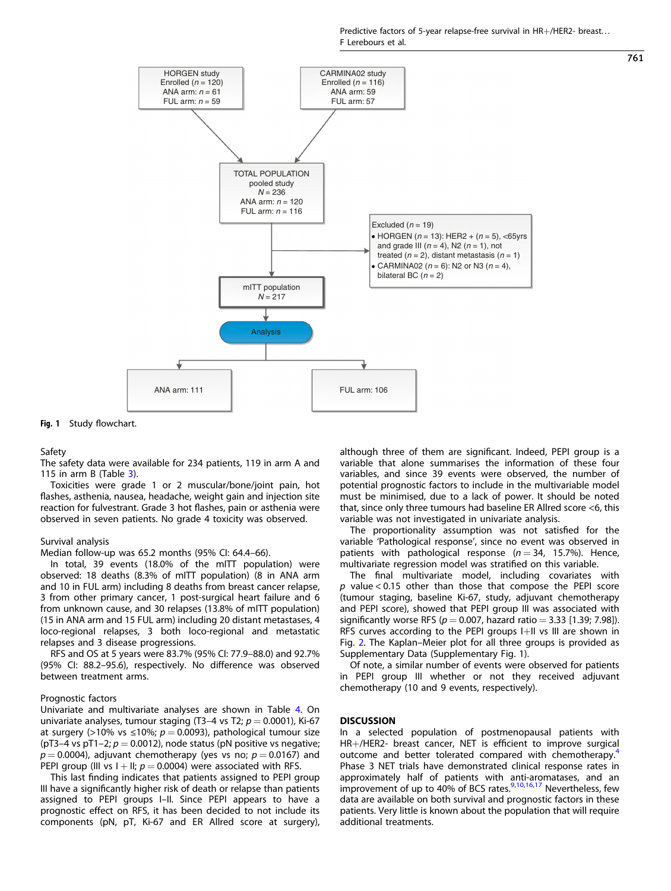Predictive factors of 5-year relapse-free survival in HR+/HER2- breast. . . F Lerebours et al.

<span id="page-2-0"></span>

Fig. 1 Study flowchart.

#### Safety

The safety data were available for 234 patients, 119 in arm A and 115 in arm B (Table  $3$ ).

Toxicities were grade 1 or 2 muscular/bone/joint pain, hot flashes, asthenia, nausea, headache, weight gain and injection site reaction for fulvestrant. Grade 3 hot flashes, pain or asthenia were observed in seven patients. No grade 4 toxicity was observed.

#### Survival analysis

Median follow-up was 65.2 months (95% CI: 64.4–66).

In total, 39 events (18.0% of the mITT population) were observed: 18 deaths (8.3% of mITT population) (8 in ANA arm and 10 in FUL arm) including 8 deaths from breast cancer relapse, 3 from other primary cancer, 1 post-surgical heart failure and 6 from unknown cause, and 30 relapses (13.8% of mITT population) (15 in ANA arm and 15 FUL arm) including 20 distant metastases, 4 loco-regional relapses, 3 both loco-regional and metastatic relapses and 3 disease progressions.

RFS and OS at 5 years were 83.7% (95% CI: 77.9–88.0) and 92.7% (95% CI: 88.2–95.6), respectively. No difference was observed between treatment arms.

#### Prognostic factors

Univariate and multivariate analyses are shown in Table [4.](#page-4-0) On univariate analyses, tumour staging (T3–4 vs T2;  $p = 0.0001$ ), Ki-67 at surgery (>10% vs ≤10%;  $p = 0.0093$ ), pathological tumour size (pT3–4 vs pT1–2;  $p = 0.0012$ ), node status (pN positive vs negative;  $p = 0.0004$ ), adjuvant chemotherapy (yes vs no;  $p = 0.0167$ ) and PEPI group (III vs  $I + II$ ;  $p = 0.0004$ ) were associated with RFS.

This last finding indicates that patients assigned to PEPI group III have a significantly higher risk of death or relapse than patients assigned to PEPI groups I–II. Since PEPI appears to have a prognostic effect on RFS, it has been decided to not include its components (pN, pT, Ki-67 and ER Allred score at surgery), although three of them are significant. Indeed, PEPI group is a variable that alone summarises the information of these four variables, and since 39 events were observed, the number of potential prognostic factors to include in the multivariable model must be minimised, due to a lack of power. It should be noted that, since only three tumours had baseline ER Allred score <6, this variable was not investigated in univariate analysis.

The proportionality assumption was not satisfied for the variable 'Pathological response', since no event was observed in patients with pathological response ( $n = 34$ , 15.7%). Hence, multivariate regression model was stratified on this variable.

The final multivariate model, including covariates with  $p$  value < 0.15 other than those that compose the PEPI score (tumour staging, baseline Ki-67, study, adjuvant chemotherapy and PEPI score), showed that PEPI group III was associated with significantly worse RFS ( $p = 0.007$ , hazard ratio = 3.33 [1.39; 7.98]). RFS curves according to the PEPI groups I+II vs III are shown in Fig. [2.](#page-4-0) The Kaplan–Meier plot for all three groups is provided as Supplementary Data (Supplementary Fig. 1).

Of note, a similar number of events were observed for patients in PEPI group III whether or not they received adjuvant chemotherapy (10 and 9 events, respectively).

#### **DISCUSSION**

In a selected population of postmenopausal patients with HR+/HER2- breast cancer, NET is efficient to improve surgical outcome and better tolerated compared with chemotherapy.<sup>[4](#page-5-0)</sup> Phase 3 NET trials have demonstrated clinical response rates in approximately half of patients with anti-aromatases, and an improvement of up to 40% of BCS rates.<sup>[9,10,16](#page-5-0),[17](#page-5-0)</sup> Nevertheless, few data are available on both survival and prognostic factors in these patients. Very little is known about the population that will require additional treatments.

761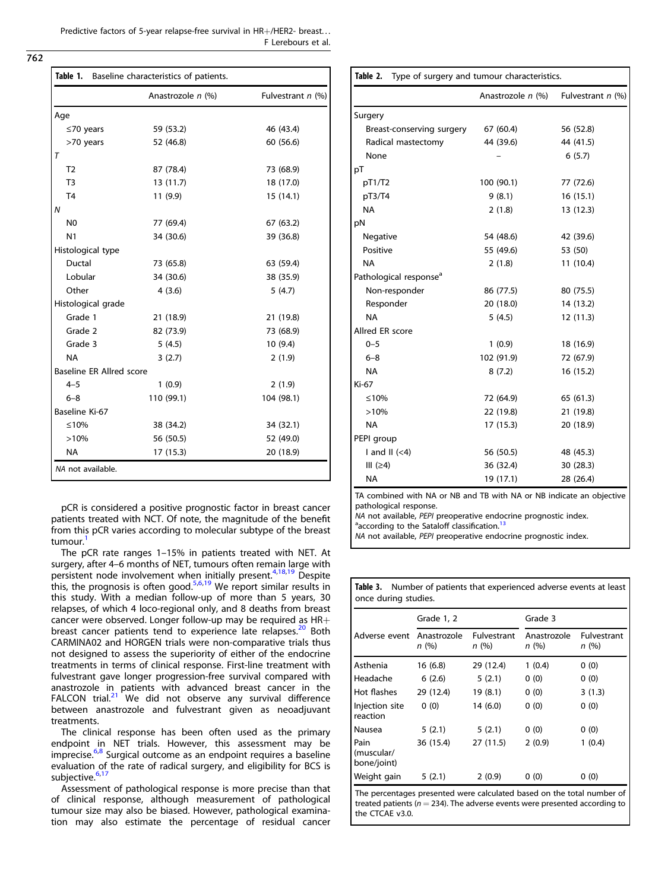Predictive factors of 5-year relapse-free survival in HR+/HER2- breast. . . F Lerebours et al.

<span id="page-3-0"></span>762

| Table 1.<br>Baseline characteristics of patients. |                   |                   |  |  |  |
|---------------------------------------------------|-------------------|-------------------|--|--|--|
|                                                   | Anastrozole n (%) | Fulvestrant n (%) |  |  |  |
| Age                                               |                   |                   |  |  |  |
| $\leq$ 70 years                                   | 59 (53.2)         | 46 (43.4)         |  |  |  |
| >70 years                                         | 52 (46.8)         | 60 (56.6)         |  |  |  |
| T                                                 |                   |                   |  |  |  |
| T <sub>2</sub>                                    | 87 (78.4)         | 73 (68.9)         |  |  |  |
| T <sub>3</sub>                                    | 13 (11.7)         | 18 (17.0)         |  |  |  |
| T <sub>4</sub>                                    | 11 (9.9)          | 15 (14.1)         |  |  |  |
| N                                                 |                   |                   |  |  |  |
| N <sub>0</sub>                                    | 77 (69.4)         | 67 (63.2)         |  |  |  |
| N <sub>1</sub>                                    | 34 (30.6)         | 39 (36.8)         |  |  |  |
| Histological type                                 |                   |                   |  |  |  |
| Ductal                                            | 73 (65.8)         | 63 (59.4)         |  |  |  |
| Lobular                                           | 34 (30.6)         | 38 (35.9)         |  |  |  |
| Other                                             | 4(3.6)            | 5(4.7)            |  |  |  |
| Histological grade                                |                   |                   |  |  |  |
| Grade 1                                           | 21 (18.9)         | 21 (19.8)         |  |  |  |
| Grade 2                                           | 82 (73.9)         | 73 (68.9)         |  |  |  |
| Grade 3                                           | 5(4.5)            | 10(9.4)           |  |  |  |
| <b>NA</b>                                         | 3(2.7)            | 2(1.9)            |  |  |  |
| Baseline ER Allred score                          |                   |                   |  |  |  |
| $4 - 5$                                           | 1(0.9)            | 2(1.9)            |  |  |  |
| $6 - 8$                                           | 110 (99.1)        | 104 (98.1)        |  |  |  |
| Baseline Ki-67                                    |                   |                   |  |  |  |
| ≤10%                                              | 38 (34.2)         | 34 (32.1)         |  |  |  |
| >10%                                              | 56 (50.5)         | 52 (49.0)         |  |  |  |
| <b>NA</b>                                         | 17 (15.3)         | 20 (18.9)         |  |  |  |
| NA not available.                                 |                   |                   |  |  |  |

pCR is considered a positive prognostic factor in breast cancer patients treated with NCT. Of note, the magnitude of the benefit from this pCR varies according to molecular subtype of the breast tumour.<sup>[1](#page-5-0)</sup>

The pCR rate ranges 1–15% in patients treated with NET. At surgery, after 4–6 months of NET, tumours often remain large with persistent node involvement when initially present.<sup>[4](#page-5-0),[18,](#page-5-0)[19](#page-6-0)</sup> Despite this, the prognosis is often good.<sup>[5,6,](#page-5-0)[19](#page-6-0)</sup> We report similar results in this study. With a median follow-up of more than 5 years, 30 relapses, of which 4 loco-regional only, and 8 deaths from breast cancer were observed. Longer follow-up may be required as  $HR+$ breast cancer patients tend to experience late relapses.<sup>[20](#page-6-0)</sup> Both CARMINA02 and HORGEN trials were non-comparative trials thus not designed to assess the superiority of either of the endocrine treatments in terms of clinical response. First-line treatment with fulvestrant gave longer progression-free survival compared with anastrozole in patients with advanced breast cancer in the FALCON trial. $21$  We did not observe any survival difference between anastrozole and fulvestrant given as neoadjuvant treatments.

The clinical response has been often used as the primary endpoint in NET trials. However, this assessment may be imprecise.<sup>[6,8](#page-5-0)</sup> Surgical outcome as an endpoint requires a baseline evaluation of the rate of radical surgery, and eligibility for BCS is subjective.<sup>[6](#page-5-0),[17](#page-5-0)</sup>

Assessment of pathological response is more precise than that of clinical response, although measurement of pathological tumour size may also be biased. However, pathological examination may also estimate the percentage of residual cancer

|                                                                      | Anastrozole n (%) | Fulvestrant $n$ (%) |  |  |  |
|----------------------------------------------------------------------|-------------------|---------------------|--|--|--|
| Surgery                                                              |                   |                     |  |  |  |
|                                                                      |                   |                     |  |  |  |
| Breast-conserving surgery                                            | 67 (60.4)         | 56 (52.8)           |  |  |  |
| Radical mastectomy                                                   | 44 (39.6)         | 44 (41.5)           |  |  |  |
| None                                                                 |                   | 6(5.7)              |  |  |  |
| pT                                                                   |                   |                     |  |  |  |
| pT1/T2                                                               | 100 (90.1)        | 77 (72.6)           |  |  |  |
| pT3/T4                                                               | 9(8.1)            | 16(15.1)            |  |  |  |
| <b>NA</b>                                                            | 2(1.8)            | 13 (12.3)           |  |  |  |
| pN                                                                   |                   |                     |  |  |  |
| Negative                                                             | 54 (48.6)         | 42 (39.6)           |  |  |  |
| Positive                                                             | 55 (49.6)         | 53 (50)             |  |  |  |
| <b>NA</b>                                                            | 2(1.8)            | 11 (10.4)           |  |  |  |
| Pathological response <sup>a</sup>                                   |                   |                     |  |  |  |
| Non-responder                                                        | 86 (77.5)         | 80 (75.5)           |  |  |  |
| Responder                                                            | 20 (18.0)         | 14 (13.2)           |  |  |  |
| <b>NA</b>                                                            | 5(4.5)            | 12 (11.3)           |  |  |  |
| Allred ER score                                                      |                   |                     |  |  |  |
| $0 - 5$                                                              | 1(0.9)            | 18 (16.9)           |  |  |  |
| $6 - 8$                                                              | 102 (91.9)        | 72 (67.9)           |  |  |  |
| <b>NA</b>                                                            | 8(7.2)            | 16 (15.2)           |  |  |  |
| Ki-67                                                                |                   |                     |  |  |  |
| ≤10%                                                                 | 72 (64.9)         | 65 (61.3)           |  |  |  |
| >10%                                                                 | 22 (19.8)         | 21 (19.8)           |  |  |  |
| <b>NA</b>                                                            | 17(15.3)          | 20 (18.9)           |  |  |  |
| PEPI group                                                           |                   |                     |  |  |  |
| I and II $(<4)$                                                      | 56 (50.5)         | 48 (45.3)           |  |  |  |
| III $(≥4)$                                                           | 36 (32.4)         | 30 (28.3)           |  |  |  |
| <b>NA</b>                                                            | 19 (17.1)         | 28 (26.4)           |  |  |  |
| TA combined with NA or NR and TR with NA or NR indicate an objective |                   |                     |  |  |  |

Table 2. Type of surgery and tumour characteristics.

ed with NA or NB and TB with NA or NB indicate pathological response.

Table 3. Number of patients that experienced adverse events at least

NA not available, PEPI preoperative endocrine prognostic index. <sup>a</sup>according to the Sataloff classification.<sup>13</sup>

NA not available, PEPI preoperative endocrine prognostic index.

| once during studies.              |                     |                            |                     |                     |  |  |  |  |
|-----------------------------------|---------------------|----------------------------|---------------------|---------------------|--|--|--|--|
|                                   | Grade 1, 2          |                            | Grade 3             |                     |  |  |  |  |
| Adverse event                     | Anastrozole<br>n(%) | <b>Fulvestrant</b><br>n(%) | Anastrozole<br>n(%) | Fulvestrant<br>n(%) |  |  |  |  |
| Asthenia                          | 16 (6.8)            | 29 (12.4)                  | 1(0.4)              | 0(0)                |  |  |  |  |
| Headache                          | 6(2.6)              | 5(2.1)                     | 0(0)                | 0(0)                |  |  |  |  |
| Hot flashes                       | 29 (12.4)           | 19(8.1)                    | 0(0)                | 3(1.3)              |  |  |  |  |
| Injection site<br>reaction        | 0(0)                | 14 (6.0)                   | 0(0)                | 0(0)                |  |  |  |  |
| Nausea                            | 5(2.1)              | 5(2.1)                     | 0(0)                | 0(0)                |  |  |  |  |
| Pain<br>(muscular/<br>bone/joint) | 36 (15.4)           | 27 (11.5)                  | 2(0.9)              | 1(0.4)              |  |  |  |  |
| Weight gain                       | 5(2.1)              | 2(0.9)                     | 0(0)                | 0(0)                |  |  |  |  |

The percentages presented were calculated based on the total number of treated patients ( $n = 234$ ). The adverse events were presented according to the CTCAE v3.0.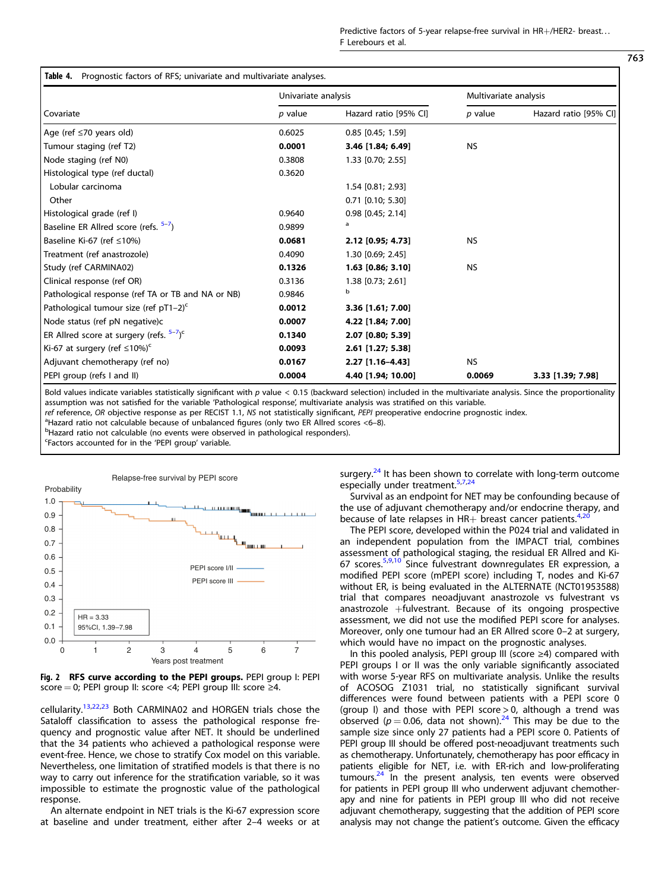|  | <b>Table 4.</b> Prognostic factors of RFS; univariate and multivariate analyses |  |  |  |  |  |  |  |
|--|---------------------------------------------------------------------------------|--|--|--|--|--|--|--|
|--|---------------------------------------------------------------------------------|--|--|--|--|--|--|--|

<span id="page-4-0"></span>

|                                                                 | Univariate analysis |                       |           | Multivariate analysis |  |  |
|-----------------------------------------------------------------|---------------------|-----------------------|-----------|-----------------------|--|--|
| l Covariate                                                     | $p$ value           | Hazard ratio [95% CI] | $p$ value | Hazard ratio [95% CI] |  |  |
| Age (ref ≤70 years old)                                         | 0.6025              | $0.85$ [0.45; 1.59]   |           |                       |  |  |
| Tumour staging (ref T2)                                         | 0.0001              | 3.46 [1.84; 6.49]     | <b>NS</b> |                       |  |  |
| Node staging (ref N0)                                           | 0.3808              | 1.33 [0.70; 2.55]     |           |                       |  |  |
| Histological type (ref ductal)                                  | 0.3620              |                       |           |                       |  |  |
| Lobular carcinoma                                               |                     | 1.54 [0.81; 2.93]     |           |                       |  |  |
| Other                                                           |                     | $0.71$ [0.10; 5.30]   |           |                       |  |  |
| Histological grade (ref I)                                      | 0.9640              | $0.98$ [0.45; 2.14]   |           |                       |  |  |
| Baseline ER Allred score (refs. <sup>5-7</sup> )                | 0.9899              | a                     |           |                       |  |  |
| Baseline Ki-67 (ref ≤10%)                                       | 0.0681              | 2.12 [0.95; 4.73]     | <b>NS</b> |                       |  |  |
| Treatment (ref anastrozole)                                     | 0.4090              | 1.30 [0.69; 2.45]     |           |                       |  |  |
| Study (ref CARMINA02)                                           | 0.1326              | $1.63$ [0.86; 3.10]   | <b>NS</b> |                       |  |  |
| Clinical response (ref OR)                                      | 0.3136              | 1.38 [0.73; 2.61]     |           |                       |  |  |
| Pathological response (ref TA or TB and NA or NB)               | 0.9846              | b                     |           |                       |  |  |
| Pathological tumour size (ref pT1–2) <sup>c</sup>               | 0.0012              | 3.36 [1.61; 7.00]     |           |                       |  |  |
| Node status (ref pN negative)c                                  | 0.0007              | 4.22 [1.84; 7.00]     |           |                       |  |  |
| ER Allred score at surgery (refs. <sup>5-7</sup> ) <sup>c</sup> | 0.1340              | $2.07$ [0.80; 5.39]   |           |                       |  |  |
| Ki-67 at surgery (ref $\leq 10\%$ ) <sup>c</sup>                | 0.0093              | 2.61 [1.27; 5.38]     |           |                       |  |  |
| Adjuvant chemotherapy (ref no)                                  | 0.0167              | 2.27 [1.16-4.43]      | <b>NS</b> |                       |  |  |
| PEPI group (refs I and II)                                      | 0.0004              | 4.40 [1.94; 10.00]    | 0.0069    | 3.33 [1.39; 7.98]     |  |  |

Bold values indicate variables statistically significant with  $p$  value < 0.15 (backward selection) included in the multivariate analysis. Since the proportionality assumption was not satisfied for the variable 'Pathological response', multivariate analysis was stratified on this variable.

ref reference, OR objective response as per RECIST 1.1, NS not statistically significant, PEPI preoperative endocrine prognostic index.

<sup>a</sup>Hazard ratio not calculable because of unbalanced figures (only two ER Allred scores <6-8).

<sup>b</sup>Hazard ratio not calculable (no events were observed in pathological responders).

<sup>c</sup>Factors accounted for in the 'PEPI group' variable.



Fig. 2 RFS curve according to the PEPI groups. PEPI group I: PEPI score = 0; PEPI group II: score <4; PEPI group III: score ≥4.

cellularity.[13](#page-5-0),[22,23](#page-6-0) Both CARMINA02 and HORGEN trials chose the Sataloff classification to assess the pathological response frequency and prognostic value after NET. It should be underlined that the 34 patients who achieved a pathological response were event-free. Hence, we chose to stratify Cox model on this variable. Nevertheless, one limitation of stratified models is that there is no way to carry out inference for the stratification variable, so it was impossible to estimate the prognostic value of the pathological response.

An alternate endpoint in NET trials is the Ki-67 expression score at baseline and under treatment, either after 2–4 weeks or at surgery. $24$  It has been shown to correlate with long-term outcome especially under treatment.<sup>[5,7,](#page-5-0)[24](#page-6-0)</sup>

Survival as an endpoint for NET may be confounding because of the use of adjuvant chemotherapy and/or endocrine therapy, and because of late relapses in HR+ breast cancer patients.<sup>[4,](#page-5-0)2</sup>

The PEPI score, developed within the P024 trial and validated in an independent population from the IMPACT trial, combines assessment of pathological staging, the residual ER Allred and Ki-67 scores.<sup>[5](#page-5-0),[9](#page-5-0),[10](#page-5-0)</sup> Since fulvestrant downregulates ER expression, a modified PEPI score (mPEPI score) including T, nodes and Ki-67 without ER, is being evaluated in the ALTERNATE (NCT01953588) trial that compares neoadjuvant anastrozole vs fulvestrant vs anastrozole  $+f$ ulvestrant. Because of its ongoing prospective assessment, we did not use the modified PEPI score for analyses. Moreover, only one tumour had an ER Allred score 0–2 at surgery, which would have no impact on the prognostic analyses.

In this pooled analysis, PEPI group III (score ≥4) compared with PEPI groups I or II was the only variable significantly associated with worse 5-year RFS on multivariate analysis. Unlike the results of ACOSOG Z1031 trial, no statistically significant survival differences were found between patients with a PEPI score 0 (group I) and those with PEPI score  $> 0$ , although a trend was observed ( $p = 0.06$ , data not shown).<sup>[24](#page-6-0)</sup> This may be due to the sample size since only 27 patients had a PEPI score 0. Patients of PEPI group III should be offered post-neoadjuvant treatments such as chemotherapy. Unfortunately, chemotherapy has poor efficacy in patients eligible for NET, i.e. with ER-rich and low-proliferating tumours.<sup>24</sup> In the present analysis, ten events were observed for patients in PEPI group III who underwent adjuvant chemotherapy and nine for patients in PEPI group III who did not receive adjuvant chemotherapy, suggesting that the addition of PEPI score analysis may not change the patient's outcome. Given the efficacy

763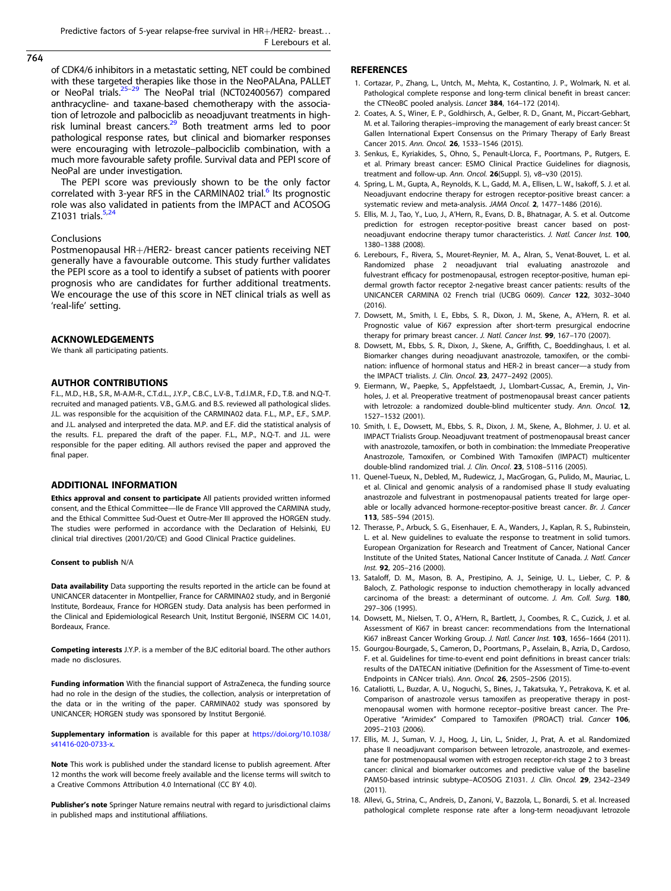<span id="page-5-0"></span>764

of CDK4/6 inhibitors in a metastatic setting, NET could be combined with these targeted therapies like those in the NeoPALAna, PALLET or NeoPal trials.<sup>25-[29](#page-6-0)</sup> The NeoPal trial (NCT02400567) compared anthracycline- and taxane-based chemotherapy with the association of letrozole and palbociclib as neoadjuvant treatments in highrisk luminal breast cancers. $29$  Both treatment arms led to poor pathological response rates, but clinical and biomarker responses were encouraging with letrozole–palbociclib combination, with a much more favourable safety profile. Survival data and PEPI score of NeoPal are under investigation.

The PEPI score was previously shown to be the only factor correlated with 3-year RFS in the CARMINA02 trial.<sup>6</sup> Its prognostic role was also validated in patients from the IMPACT and ACOSOG  $Z$ 1031 trials. $5$ 

#### Conclusions

Postmenopausal HR+/HER2- breast cancer patients receiving NET generally have a favourable outcome. This study further validates the PEPI score as a tool to identify a subset of patients with poorer prognosis who are candidates for further additional treatments. We encourage the use of this score in NET clinical trials as well as 'real-life' setting.

### ACKNOWLEDGEMENTS

We thank all participating patients.

#### AUTHOR CONTRIBUTIONS

F.L., M.D., H.B., S.R., M-A.M-R., C.T.d.L., J.Y.P., C.B.C., L.V-B., T.d.l.M.R., F.D., T.B. and N.Q-T. recruited and managed patients. V.B., G.M.G. and B.S. reviewed all pathological slides. J.L. was responsible for the acquisition of the CARMINA02 data. F.L., M.P., E.F., S.M.P. and J.L. analysed and interpreted the data. M.P. and E.F. did the statistical analysis of the results. F.L. prepared the draft of the paper. F.L., M.P., N.Q-T. and J.L. were responsible for the paper editing. All authors revised the paper and approved the final paper.

# ADDITIONAL INFORMATION

Ethics approval and consent to participate All patients provided written informed consent, and the Ethical Committee—Ile de France VIII approved the CARMINA study, and the Ethical Committee Sud-Ouest et Outre-Mer III approved the HORGEN study. The studies were performed in accordance with the Declaration of Helsinki, EU clinical trial directives (2001/20/CE) and Good Clinical Practice guidelines.

#### Consent to publish N/A

Data availability Data supporting the results reported in the article can be found at UNICANCER datacenter in Montpellier, France for CARMINA02 study, and in Bergonié Institute, Bordeaux, France for HORGEN study. Data analysis has been performed in the Clinical and Epidemiological Research Unit, Institut Bergonié, INSERM CIC 14.01, Bordeaux, France.

Competing interests J.Y.P. is a member of the BJC editorial board. The other authors made no disclosures.

Funding information With the financial support of AstraZeneca, the funding source had no role in the design of the studies, the collection, analysis or interpretation of the data or in the writing of the paper. CARMINA02 study was sponsored by UNICANCER; HORGEN study was sponsored by Institut Bergonié.

Supplementary information is available for this paper at [https://doi.org/10.1038/](https://doi.org/10.1038/s41416-020-0733-x) [s41416-020-0733-x](https://doi.org/10.1038/s41416-020-0733-x).

Note This work is published under the standard license to publish agreement. After 12 months the work will become freely available and the license terms will switch to a Creative Commons Attribution 4.0 International (CC BY 4.0).

Publisher's note Springer Nature remains neutral with regard to jurisdictional claims in published maps and institutional affiliations.

# **REFERENCES**

- 1. Cortazar, P., Zhang, L., Untch, M., Mehta, K., Costantino, J. P., Wolmark, N. et al. Pathological complete response and long-term clinical benefit in breast cancer: the CTNeoBC pooled analysis. Lancet 384, 164-172 (2014).
- 2. Coates, A. S., Winer, E. P., Goldhirsch, A., Gelber, R. D., Gnant, M., Piccart-Gebhart, M. et al. Tailoring therapies–improving the management of early breast cancer: St Gallen International Expert Consensus on the Primary Therapy of Early Breast Cancer 2015. Ann. Oncol. 26, 1533–1546 (2015).
- 3. Senkus, E., Kyriakides, S., Ohno, S., Penault-Llorca, F., Poortmans, P., Rutgers, E. et al. Primary breast cancer: ESMO Clinical Practice Guidelines for diagnosis, treatment and follow-up. Ann. Oncol. 26(Suppl. 5), v8–v30 (2015).
- 4. Spring, L. M., Gupta, A., Reynolds, K. L., Gadd, M. A., Ellisen, L. W., Isakoff, S. J. et al. Neoadjuvant endocrine therapy for estrogen receptor-positive breast cancer: a systematic review and meta-analysis. JAMA Oncol. 2, 1477–1486 (2016).
- 5. Ellis, M. J., Tao, Y., Luo, J., A'Hern, R., Evans, D. B., Bhatnagar, A. S. et al. Outcome prediction for estrogen receptor-positive breast cancer based on postneoadjuvant endocrine therapy tumor characteristics. J. Natl. Cancer Inst. 100, 1380–1388 (2008).
- 6. Lerebours, F., Rivera, S., Mouret-Reynier, M. A., Alran, S., Venat-Bouvet, L. et al. Randomized phase 2 neoadjuvant trial evaluating anastrozole and fulvestrant efficacy for postmenopausal, estrogen receptor-positive, human epidermal growth factor receptor 2-negative breast cancer patients: results of the UNICANCER CARMINA 02 French trial (UCBG 0609). Cancer 122, 3032–3040 (2016).
- 7. Dowsett, M., Smith, I. E., Ebbs, S. R., Dixon, J. M., Skene, A., A'Hern, R. et al. Prognostic value of Ki67 expression after short-term presurgical endocrine therapy for primary breast cancer. J. Natl. Cancer Inst. 99, 167-170 (2007).
- 8. Dowsett, M., Ebbs, S. R., Dixon, J., Skene, A., Griffith, C., Boeddinghaus, I. et al. Biomarker changes during neoadjuvant anastrozole, tamoxifen, or the combination: influence of hormonal status and HER-2 in breast cancer—a study from the IMPACT trialists. J. Clin. Oncol. 23, 2477–2492 (2005).
- 9. Eiermann, W., Paepke, S., Appfelstaedt, J., Llombart-Cussac, A., Eremin, J., Vinholes, J. et al. Preoperative treatment of postmenopausal breast cancer patients with letrozole: a randomized double-blind multicenter study. Ann. Oncol. 12, 1527–1532 (2001).
- 10. Smith, I. E., Dowsett, M., Ebbs, S. R., Dixon, J. M., Skene, A., Blohmer, J. U. et al. IMPACT Trialists Group. Neoadjuvant treatment of postmenopausal breast cancer with anastrozole, tamoxifen, or both in combination: the Immediate Preoperative Anastrozole, Tamoxifen, or Combined With Tamoxifen (IMPACT) multicenter double-blind randomized trial. J. Clin. Oncol. 23, 5108–5116 (2005).
- 11. Quenel-Tueux, N., Debled, M., Rudewicz, J., MacGrogan, G., Pulido, M., Mauriac, L. et al. Clinical and genomic analysis of a randomised phase II study evaluating anastrozole and fulvestrant in postmenopausal patients treated for large operable or locally advanced hormone-receptor-positive breast cancer. Br. J. Cancer 113, 585–594 (2015).
- 12. Therasse, P., Arbuck, S. G., Eisenhauer, E. A., Wanders, J., Kaplan, R. S., Rubinstein, L. et al. New guidelines to evaluate the response to treatment in solid tumors. European Organization for Research and Treatment of Cancer, National Cancer Institute of the United States, National Cancer Institute of Canada. J. Natl. Cancer Inst. 92, 205–216 (2000).
- 13. Sataloff, D. M., Mason, B. A., Prestipino, A. J., Seinige, U. L., Lieber, C. P. & Baloch, Z. Pathologic response to induction chemotherapy in locally advanced carcinoma of the breast: a determinant of outcome. J. Am. Coll. Surg. 180, 297–306 (1995).
- 14. Dowsett, M., Nielsen, T. O., A'Hern, R., Bartlett, J., Coombes, R. C., Cuzick, J. et al. Assessment of Ki67 in breast cancer: recommendations from the International Ki67 inBreast Cancer Working Group. J. Natl. Cancer Inst. 103, 1656–1664 (2011).
- 15. Gourgou-Bourgade, S., Cameron, D., Poortmans, P., Asselain, B., Azria, D., Cardoso, F. et al. Guidelines for time-to-event end point definitions in breast cancer trials: results of the DATECAN initiative (Definition for the Assessment of Time-to-event Endpoints in CANcer trials). Ann. Oncol. 26, 2505–2506 (2015).
- 16. Cataliotti, L., Buzdar, A. U., Noguchi, S., Bines, J., Takatsuka, Y., Petrakova, K. et al. Comparison of anastrozole versus tamoxifen as preoperative therapy in postmenopausal women with hormone receptor–positive breast cancer. The Pre-Operative "Arimidex" Compared to Tamoxifen (PROACT) trial. Cancer 106, 2095–2103 (2006).
- 17. Ellis, M. J., Suman, V. J., Hoog, J., Lin, L., Snider, J., Prat, A. et al. Randomized phase II neoadjuvant comparison between letrozole, anastrozole, and exemestane for postmenopausal women with estrogen receptor-rich stage 2 to 3 breast cancer: clinical and biomarker outcomes and predictive value of the baseline PAM50-based intrinsic subtype-ACOSOG Z1031. J. Clin. Oncol. 29, 2342-2349 (2011).
- 18. Allevi, G., Strina, C., Andreis, D., Zanoni, V., Bazzola, L., Bonardi, S. et al. Increased pathological complete response rate after a long-term neoadjuvant letrozole